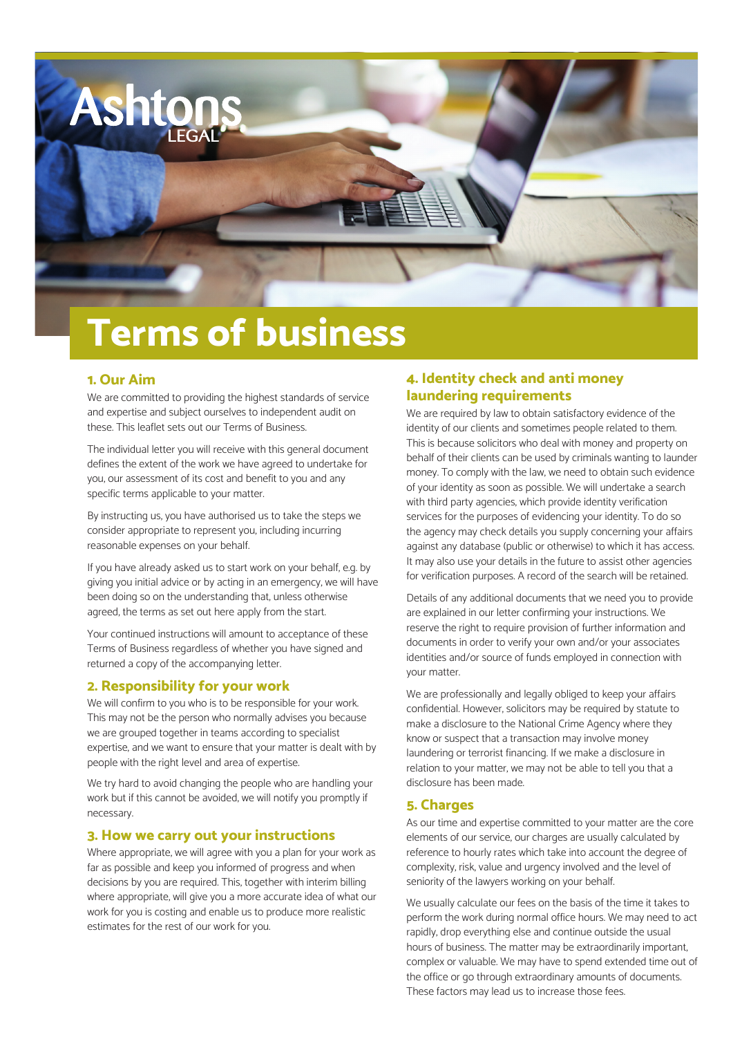

# **Terms of business**

## **1. Our Aim**

We are committed to providing the highest standards of service and expertise and subject ourselves to independent audit on these. This leaflet sets out our Terms of Business.

The individual letter you will receive with this general document defines the extent of the work we have agreed to undertake for you, our assessment of its cost and benefit to you and any specific terms applicable to your matter.

By instructing us, you have authorised us to take the steps we consider appropriate to represent you, including incurring reasonable expenses on your behalf.

If you have already asked us to start work on your behalf, e.g. by giving you initial advice or by acting in an emergency, we will have been doing so on the understanding that, unless otherwise agreed, the terms as set out here apply from the start.

Your continued instructions will amount to acceptance of these Terms of Business regardless of whether you have signed and returned a copy of the accompanying letter.

#### **2. Responsibility for your work**

We will confirm to you who is to be responsible for your work. This may not be the person who normally advises you because we are grouped together in teams according to specialist expertise, and we want to ensure that your matter is dealt with by people with the right level and area of expertise.

We try hard to avoid changing the people who are handling your work but if this cannot be avoided, we will notify you promptly if necessary.

#### **3. How we carry out your instructions**

Where appropriate, we will agree with you a plan for your work as far as possible and keep you informed of progress and when decisions by you are required. This, together with interim billing where appropriate, will give you a more accurate idea of what our work for you is costing and enable us to produce more realistic estimates for the rest of our work for you.

## **4. Identity check and anti money laundering requirements**

We are required by law to obtain satisfactory evidence of the identity of our clients and sometimes people related to them. This is because solicitors who deal with money and property on behalf of their clients can be used by criminals wanting to launder money. To comply with the law, we need to obtain such evidence of your identity as soon as possible. We will undertake a search with third party agencies, which provide identity verification services for the purposes of evidencing your identity. To do so the agency may check details you supply concerning your affairs against any database (public or otherwise) to which it has access. It may also use your details in the future to assist other agencies for verification purposes. A record of the search will be retained.

Details of any additional documents that we need you to provide are explained in our letter confirming your instructions. We reserve the right to require provision of further information and documents in order to verify your own and/or your associates identities and/or source of funds employed in connection with your matter.

We are professionally and legally obliged to keep your affairs confidential. However, solicitors may be required by statute to make a disclosure to the National Crime Agency where they know or suspect that a transaction may involve money laundering or terrorist financing. If we make a disclosure in relation to your matter, we may not be able to tell you that a disclosure has been made.

#### **5. Charges**

As our time and expertise committed to your matter are the core elements of our service, our charges are usually calculated by reference to hourly rates which take into account the degree of complexity, risk, value and urgency involved and the level of seniority of the lawyers working on your behalf.

We usually calculate our fees on the basis of the time it takes to perform the work during normal office hours. We may need to act rapidly, drop everything else and continue outside the usual hours of business. The matter may be extraordinarily important, complex or valuable. We may have to spend extended time out of the office or go through extraordinary amounts of documents. These factors may lead us to increase those fees.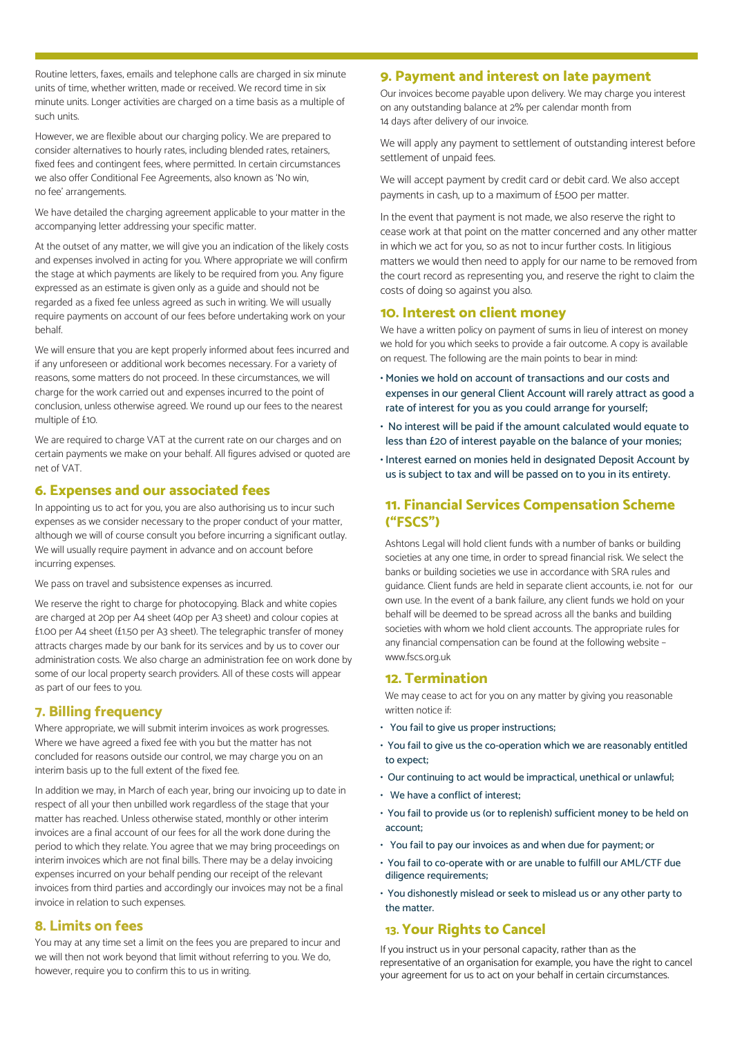Routine letters, faxes, emails and telephone calls are charged in six minute units of time, whether written, made or received. We record time in six minute units. Longer activities are charged on a time basis as a multiple of such units.

However, we are flexible about our charging policy. We are prepared to consider alternatives to hourly rates, including blended rates, retainers, fixed fees and contingent fees, where permitted. In certain circumstances we also offer Conditional Fee Agreements, also known as 'No win, no fee' arrangements.

We have detailed the charging agreement applicable to your matter in the accompanying letter addressing your specific matter.

At the outset of any matter, we will give you an indication of the likely costs and expenses involved in acting for you. Where appropriate we will confirm the stage at which payments are likely to be required from you. Any figure expressed as an estimate is given only as a guide and should not be regarded as a fixed fee unless agreed as such in writing. We will usually require payments on account of our fees before undertaking work on your behalf.

We will ensure that you are kept properly informed about fees incurred and if any unforeseen or additional work becomes necessary. For a variety of reasons, some matters do not proceed. In these circumstances, we will charge for the work carried out and expenses incurred to the point of conclusion, unless otherwise agreed. We round up our fees to the nearest multiple of £10.

We are required to charge VAT at the current rate on our charges and on certain payments we make on your behalf. All figures advised or quoted are net of VAT.

### **6. Expenses and our associated fees**

In appointing us to act for you, you are also authorising us to incur such expenses as we consider necessary to the proper conduct of your matter, although we will of course consult you before incurring a significant outlay. We will usually require payment in advance and on account before incurring expenses.

We pass on travel and subsistence expenses as incurred.

We reserve the right to charge for photocopying. Black and white copies are charged at 20p per A4 sheet (40p per A3 sheet) and colour copies at £1.00 per A4 sheet (£1.50 per A3 sheet). The telegraphic transfer of money attracts charges made by our bank for its services and by us to cover our administration costs. We also charge an administration fee on work done by some of our local property search providers. All of these costs will appear as part of our fees to you.

#### **7. Billing frequency**

Where appropriate, we will submit interim invoices as work progresses. Where we have agreed a fixed fee with you but the matter has not concluded for reasons outside our control, we may charge you on an interim basis up to the full extent of the fixed fee.

In addition we may, in March of each year, bring our invoicing up to date in respect of all your then unbilled work regardless of the stage that your matter has reached. Unless otherwise stated, monthly or other interim invoices are a final account of our fees for all the work done during the period to which they relate. You agree that we may bring proceedings on interim invoices which are not final bills. There may be a delay invoicing expenses incurred on your behalf pending our receipt of the relevant invoices from third parties and accordingly our invoices may not be a final invoice in relation to such expenses.

#### **8. Limits on fees**

You may at any time set a limit on the fees you are prepared to incur and we will then not work beyond that limit without referring to you. We do, however, require you to confirm this to us in writing.

#### **9. Payment and interest on late payment**

Our invoices become payable upon delivery. We may charge you interest on any outstanding balance at 2% per calendar month from 14 days after delivery of our invoice.

We will apply any payment to settlement of outstanding interest before settlement of unpaid fees.

We will accept payment by credit card or debit card. We also accept payments in cash, up to a maximum of £500 per matter.

In the event that payment is not made, we also reserve the right to cease work at that point on the matter concerned and any other matter in which we act for you, so as not to incur further costs. In litigious matters we would then need to apply for our name to be removed from the court record as representing you, and reserve the right to claim the costs of doing so against you also.

#### **10. Interest on client money**

We have a written policy on payment of sums in lieu of interest on money we hold for you which seeks to provide a fair outcome. A copy is available on request. The following are the main points to bear in mind:

- Monies we hold on account of transactions and our costs and expenses in our general Client Account will rarely attract as good a rate of interest for you as you could arrange for yourself;
- No interest will be paid if the amount calculated would equate to less than £20 of interest payable on the balance of your monies;
- Interest earned on monies held in designated Deposit Account by us is subject to tax and will be passed on to you in its entirety.

## **11. Financial Services Compensation Scheme ("FSCS")**

Ashtons Legal will hold client funds with a number of banks or building societies at any one time, in order to spread financial risk. We select the banks or building societies we use in accordance with SRA rules and guidance. Client funds are held in separate client accounts, i.e. not for our own use. In the event of a bank failure, any client funds we hold on your behalf will be deemed to be spread across all the banks and building societies with whom we hold client accounts. The appropriate rules for any financial compensation can be found at the following website – www.fscs.org.uk

#### **12. Termination**

We may cease to act for you on any matter by giving you reasonable written notice if:

- You fail to give us proper instructions;
- You fail to give us the co-operation which we are reasonably entitled to expect;
- Our continuing to act would be impractical, unethical or unlawful;
- We have a conflict of interest;
- You fail to provide us (or to replenish) sufficient money to be held on account;
- You fail to pay our invoices as and when due for payment; or
- You fail to co-operate with or are unable to fulfill our AML/CTF due diligence requirements;
- You dishonestly mislead or seek to mislead us or any other party to the matter.

#### **13. Your Rights to Cancel**

If you instruct us in your personal capacity, rather than as the representative of an organisation for example, you have the right to cancel your agreement for us to act on your behalf in certain circumstances.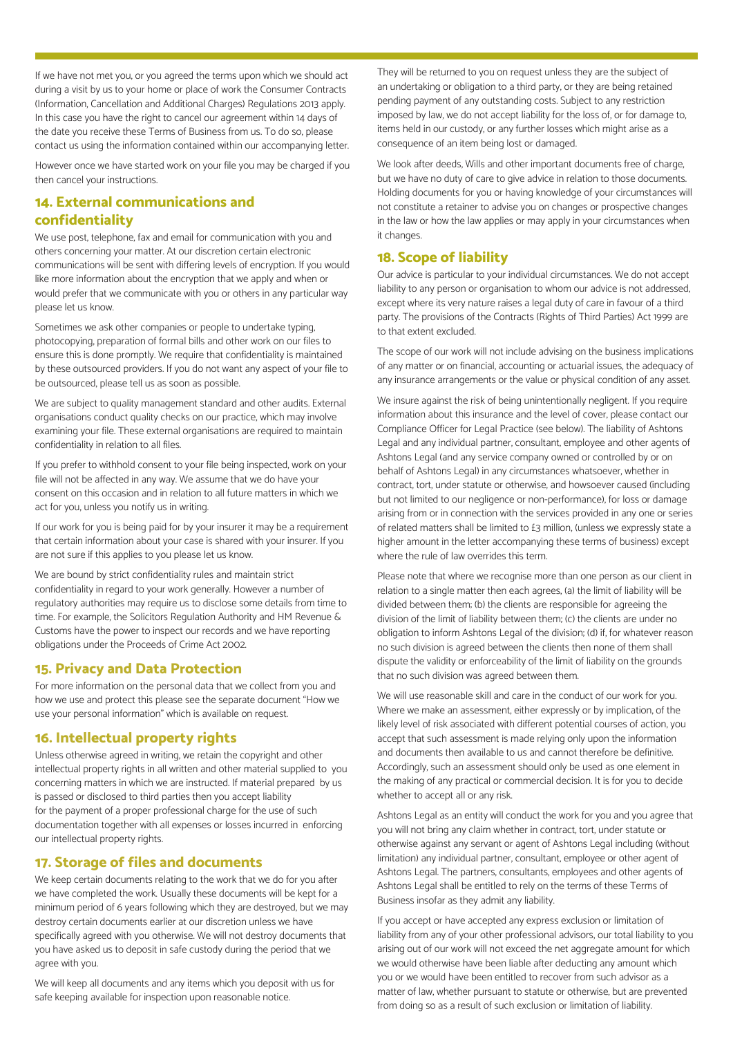If we have not met you, or you agreed the terms upon which we should act during a visit by us to your home or place of work the Consumer Contracts (Information, Cancellation and Additional Charges) Regulations 2013 apply. In this case you have the right to cancel our agreement within 14 days of the date you receive these Terms of Business from us. To do so, please contact us using the information contained within our accompanying letter.

However once we have started work on your file you may be charged if you then cancel your instructions.

## **14. External communications and confidentiality**

We use post, telephone, fax and email for communication with you and others concerning your matter. At our discretion certain electronic communications will be sent with differing levels of encryption. If you would like more information about the encryption that we apply and when or would prefer that we communicate with you or others in any particular way please let us know.

Sometimes we ask other companies or people to undertake typing, photocopying, preparation of formal bills and other work on our files to ensure this is done promptly. We require that confidentiality is maintained by these outsourced providers. If you do not want any aspect of your file to be outsourced, please tell us as soon as possible.

We are subject to quality management standard and other audits. External organisations conduct quality checks on our practice, which may involve examining your file. These external organisations are required to maintain confidentiality in relation to all files.

If you prefer to withhold consent to your file being inspected, work on your file will not be affected in any way. We assume that we do have your consent on this occasion and in relation to all future matters in which we act for you, unless you notify us in writing.

If our work for you is being paid for by your insurer it may be a requirement that certain information about your case is shared with your insurer. If you are not sure if this applies to you please let us know.

We are bound by strict confidentiality rules and maintain strict confidentiality in regard to your work generally. However a number of regulatory authorities may require us to disclose some details from time to time. For example, the Solicitors Regulation Authority and HM Revenue & Customs have the power to inspect our records and we have reporting obligations under the Proceeds of Crime Act 2002.

#### **15. Privacy and Data Protection**

For more information on the personal data that we collect from you and how we use and protect this please see the separate document "How we use your personal information" which is available on request.

#### **16. Intellectual property rights**

Unless otherwise agreed in writing, we retain the copyright and other intellectual property rights in all written and other material supplied to you concerning matters in which we are instructed. If material prepared by us is passed or disclosed to third parties then you accept liability for the payment of a proper professional charge for the use of such documentation together with all expenses or losses incurred in enforcing our intellectual property rights.

## **17. Storage of files and documents**

We keep certain documents relating to the work that we do for you after we have completed the work. Usually these documents will be kept for a minimum period of 6 years following which they are destroyed, but we may destroy certain documents earlier at our discretion unless we have specifically agreed with you otherwise. We will not destroy documents that you have asked us to deposit in safe custody during the period that we agree with you.

We will keep all documents and any items which you deposit with us for safe keeping available for inspection upon reasonable notice.

They will be returned to you on request unless they are the subject of an undertaking or obligation to a third party, or they are being retained pending payment of any outstanding costs. Subject to any restriction imposed by law, we do not accept liability for the loss of, or for damage to, items held in our custody, or any further losses which might arise as a consequence of an item being lost or damaged.

We look after deeds, Wills and other important documents free of charge, but we have no duty of care to give advice in relation to those documents. Holding documents for you or having knowledge of your circumstances will not constitute a retainer to advise you on changes or prospective changes in the law or how the law applies or may apply in your circumstances when it changes.

## **18. Scope of liability**

Our advice is particular to your individual circumstances. We do not accept liability to any person or organisation to whom our advice is not addressed, except where its very nature raises a legal duty of care in favour of a third party. The provisions of the Contracts (Rights of Third Parties) Act 1999 are to that extent excluded.

The scope of our work will not include advising on the business implications of any matter or on financial, accounting or actuarial issues, the adequacy of any insurance arrangements or the value or physical condition of any asset.

We insure against the risk of being unintentionally negligent. If you require information about this insurance and the level of cover, please contact our Compliance Officer for Legal Practice (see below). The liability of Ashtons Legal and any individual partner, consultant, employee and other agents of Ashtons Legal (and any service company owned or controlled by or on behalf of Ashtons Legal) in any circumstances whatsoever, whether in contract, tort, under statute or otherwise, and howsoever caused (including but not limited to our negligence or non-performance), for loss or damage arising from or in connection with the services provided in any one or series of related matters shall be limited to £3 million, (unless we expressly state a higher amount in the letter accompanying these terms of business) except where the rule of law overrides this term.

Please note that where we recognise more than one person as our client in relation to a single matter then each agrees, (a) the limit of liability will be divided between them; (b) the clients are responsible for agreeing the division of the limit of liability between them; (c) the clients are under no obligation to inform Ashtons Legal of the division; (d) if, for whatever reason no such division is agreed between the clients then none of them shall dispute the validity or enforceability of the limit of liability on the grounds that no such division was agreed between them.

We will use reasonable skill and care in the conduct of our work for you. Where we make an assessment, either expressly or by implication, of the likely level of risk associated with different potential courses of action, you accept that such assessment is made relying only upon the information and documents then available to us and cannot therefore be definitive. Accordingly, such an assessment should only be used as one element in the making of any practical or commercial decision. It is for you to decide whether to accept all or any risk.

Ashtons Legal as an entity will conduct the work for you and you agree that you will not bring any claim whether in contract, tort, under statute or otherwise against any servant or agent of Ashtons Legal including (without limitation) any individual partner, consultant, employee or other agent of Ashtons Legal. The partners, consultants, employees and other agents of Ashtons Legal shall be entitled to rely on the terms of these Terms of Business insofar as they admit any liability.

If you accept or have accepted any express exclusion or limitation of liability from any of your other professional advisors, our total liability to you arising out of our work will not exceed the net aggregate amount for which we would otherwise have been liable after deducting any amount which you or we would have been entitled to recover from such advisor as a matter of law, whether pursuant to statute or otherwise, but are prevented from doing so as a result of such exclusion or limitation of liability.